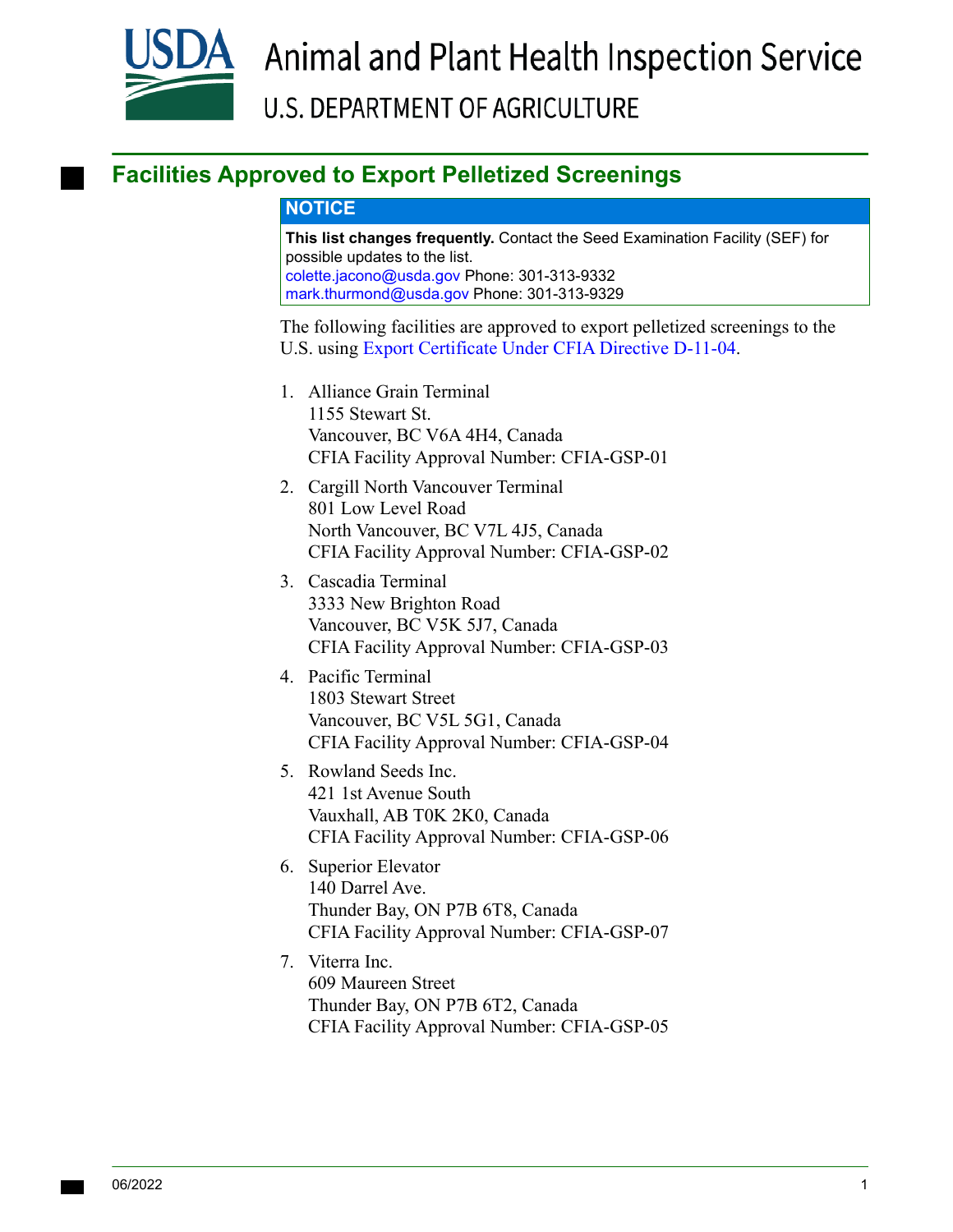

## **Facilities Approved to Export Pelletized Screenings**

## **NOTICE**

**This list changes frequently.** Contact the Seed Examination Facility (SEF) for possible updates to the list. [colette.jacono@usda.gov P](mailto:colette.jacono@usda.gov)hone: 301-313-9332 [mark.thurmond@usda.gov](mailto:mark.thurmond@usda.gov) Phone: 301-313-9329

The following facilities are approved to export pelletized screenings to the U.S. using [Export Certificate Under CFIA Directive D-11-04](#page-1-0).

- 1. Alliance Grain Terminal 1155 Stewart St. Vancouver, BC V6A 4H4, Canada CFIA Facility Approval Number: CFIA-GSP-01
- 2. Cargill North Vancouver Terminal 801 Low Level Road North Vancouver, BC V7L 4J5, Canada CFIA Facility Approval Number: CFIA-GSP-02
- 3. Cascadia Terminal 3333 New Brighton Road Vancouver, BC V5K 5J7, Canada CFIA Facility Approval Number: CFIA-GSP-03
- 4. Pacific Terminal 1803 Stewart Street Vancouver, BC V5L 5G1, Canada CFIA Facility Approval Number: CFIA-GSP-04
- 5. Rowland Seeds Inc. 421 1st Avenue South Vauxhall, AB T0K 2K0, Canada CFIA Facility Approval Number: CFIA-GSP-06
- 6. Superior Elevator 140 Darrel Ave. Thunder Bay, ON P7B 6T8, Canada CFIA Facility Approval Number: CFIA-GSP-07
- 7. Viterra Inc. 609 Maureen Street Thunder Bay, ON P7B 6T2, Canada CFIA Facility Approval Number: CFIA-GSP-05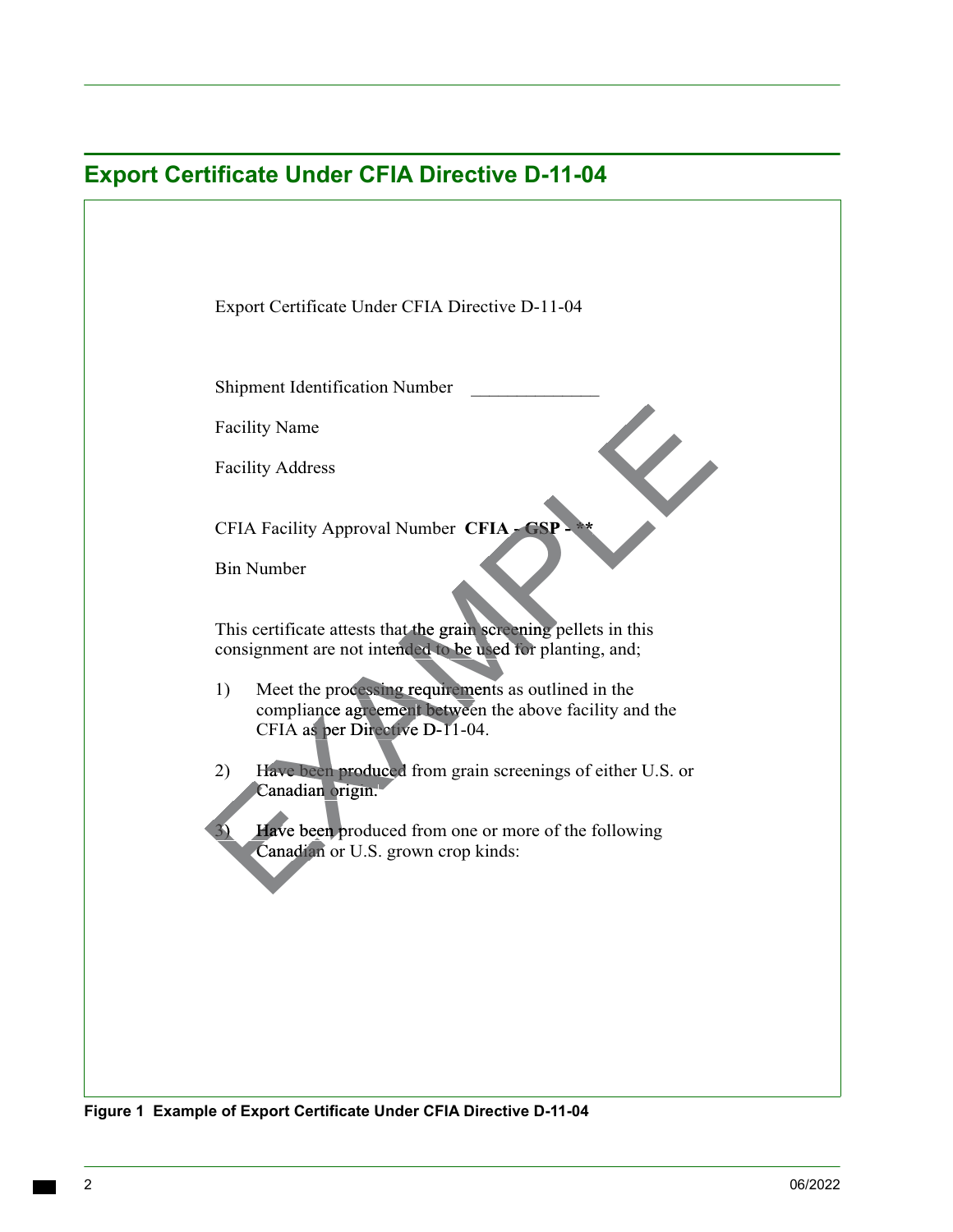<span id="page-1-0"></span>

| <b>Export Certificate Under CFIA Directive D-11-04</b> |                                                                                                                                                        |
|--------------------------------------------------------|--------------------------------------------------------------------------------------------------------------------------------------------------------|
|                                                        |                                                                                                                                                        |
|                                                        |                                                                                                                                                        |
|                                                        | Export Certificate Under CFIA Directive D-11-04                                                                                                        |
|                                                        |                                                                                                                                                        |
|                                                        | Shipment Identification Number                                                                                                                         |
|                                                        | <b>Facility Name</b>                                                                                                                                   |
|                                                        | <b>Facility Address</b>                                                                                                                                |
|                                                        | CFIA Facility Approval Number CFIA - CSP - **                                                                                                          |
|                                                        | <b>Bin Number</b>                                                                                                                                      |
|                                                        | This certificate attests that the grain screening pellets in this<br>consignment are not intended to be used for planting, and;                        |
|                                                        | Meet the processing requirements as outlined in the<br>1)<br>compliance agreement between the above facility and the<br>CFIA as per Directive D-11-04. |
|                                                        | Have been produced from grain screenings of either U.S. or<br>2)<br>Canadian origin.                                                                   |
|                                                        | Have been produced from one or more of the following<br>3)<br>Canadian or U.S. grown crop kinds:                                                       |
|                                                        |                                                                                                                                                        |
|                                                        |                                                                                                                                                        |
|                                                        |                                                                                                                                                        |
|                                                        |                                                                                                                                                        |
|                                                        |                                                                                                                                                        |
|                                                        |                                                                                                                                                        |

 **Figure 1 Example of Export Certificate Under CFIA Directive D-11-04**